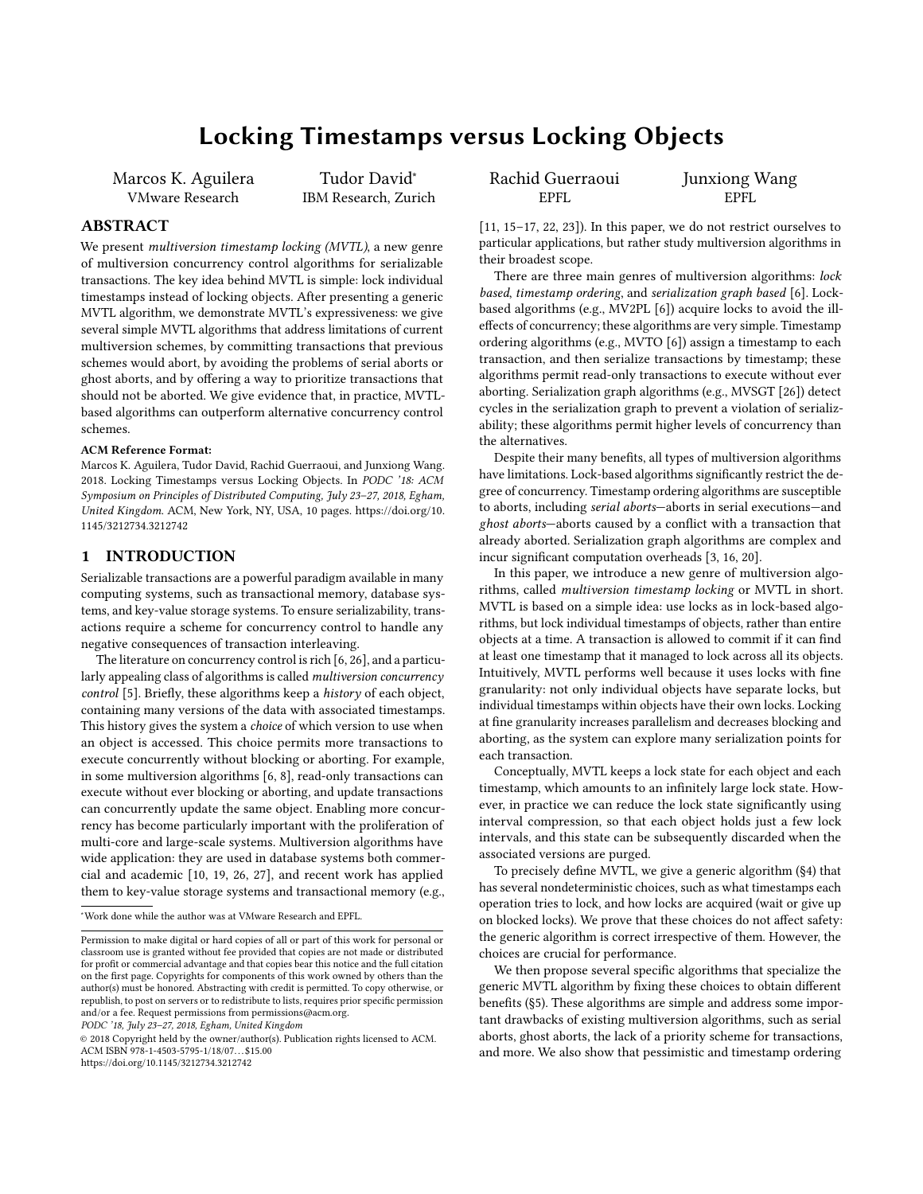# Locking Timestamps versus Locking Objects

Marcos K. Aguilera VMware Research

Tudor David<sup>∗</sup> IBM Research, Zurich

# ABSTRACT

We present *multiversion timestamp locking (MVTL)*, a new genre of multiversion concurrency control algorithms for serializable transactions. The key idea behind MVTL is simple: lock individual timestamps instead of locking objects. After presenting a generic MVTL algorithm, we demonstrate MVTL's expressiveness: we give several simple MVTL algorithms that address limitations of current multiversion schemes, by committing transactions that previous schemes would abort, by avoiding the problems of serial aborts or ghost aborts, and by offering a way to prioritize transactions that should not be aborted. We give evidence that, in practice, MVTLbased algorithms can outperform alternative concurrency control schemes.

#### ACM Reference Format:

Marcos K. Aguilera, Tudor David, Rachid Guerraoui, and Junxiong Wang. 2018. Locking Timestamps versus Locking Objects. In PODC '18: ACM Symposium on Principles of Distributed Computing, July 23–27, 2018, Egham, United Kingdom. ACM, New York, NY, USA, [10](#page-9-0) pages. [https://doi.org/10.](https://doi.org/10.1145/3212734.3212742) [1145/3212734.3212742](https://doi.org/10.1145/3212734.3212742)

# 1 INTRODUCTION

Serializable transactions are a powerful paradigm available in many computing systems, such as transactional memory, database systems, and key-value storage systems. To ensure serializability, transactions require a scheme for concurrency control to handle any negative consequences of transaction interleaving.

The literature on concurrency control is rich [\[6,](#page-9-1) [26\]](#page-9-2), and a particularly appealing class of algorithms is called multiversion concurrency control [\[5\]](#page-9-3). Briefly, these algorithms keep a history of each object, containing many versions of the data with associated timestamps. This history gives the system a *choice* of which version to use when an object is accessed. This choice permits more transactions to execute concurrently without blocking or aborting. For example, in some multiversion algorithms [\[6,](#page-9-1) [8\]](#page-9-4), read-only transactions can execute without ever blocking or aborting, and update transactions can concurrently update the same object. Enabling more concurrency has become particularly important with the proliferation of multi-core and large-scale systems. Multiversion algorithms have wide application: they are used in database systems both commercial and academic [\[10,](#page-9-5) [19,](#page-9-6) [26,](#page-9-2) [27\]](#page-9-7), and recent work has applied them to key-value storage systems and transactional memory (e.g.,

<sup>∗</sup>Work done while the author was at VMware Research and EPFL.

PODC '18, July 23–27, 2018, Egham, United Kingdom

© 2018 Copyright held by the owner/author(s). Publication rights licensed to ACM. ACM ISBN 978-1-4503-5795-1/18/07...\$15.00 <https://doi.org/10.1145/3212734.3212742>

Rachid Guerraoui EPFL

Junxiong Wang EPFL

[\[11,](#page-9-8) [15](#page-9-9)[–17,](#page-9-10) [22,](#page-9-11) [23\]](#page-9-12)). In this paper, we do not restrict ourselves to particular applications, but rather study multiversion algorithms in their broadest scope.

There are three main genres of multiversion algorithms: lock based, timestamp ordering, and serialization graph based [\[6\]](#page-9-1). Lockbased algorithms (e.g., MV2PL [\[6\]](#page-9-1)) acquire locks to avoid the illeffects of concurrency; these algorithms are very simple. Timestamp ordering algorithms (e.g., MVTO [\[6\]](#page-9-1)) assign a timestamp to each transaction, and then serialize transactions by timestamp; these algorithms permit read-only transactions to execute without ever aborting. Serialization graph algorithms (e.g., MVSGT [\[26\]](#page-9-2)) detect cycles in the serialization graph to prevent a violation of serializability; these algorithms permit higher levels of concurrency than the alternatives.

Despite their many benefits, all types of multiversion algorithms have limitations. Lock-based algorithms significantly restrict the degree of concurrency. Timestamp ordering algorithms are susceptible to aborts, including serial aborts—aborts in serial executions—and ghost aborts—aborts caused by a conflict with a transaction that already aborted. Serialization graph algorithms are complex and incur significant computation overheads [\[3,](#page-9-13) [16,](#page-9-14) [20\]](#page-9-15).

In this paper, we introduce a new genre of multiversion algorithms, called multiversion timestamp locking or MVTL in short. MVTL is based on a simple idea: use locks as in lock-based algorithms, but lock individual timestamps of objects, rather than entire objects at a time. A transaction is allowed to commit if it can find at least one timestamp that it managed to lock across all its objects. Intuitively, MVTL performs well because it uses locks with fine granularity: not only individual objects have separate locks, but individual timestamps within objects have their own locks. Locking at fine granularity increases parallelism and decreases blocking and aborting, as the system can explore many serialization points for each transaction.

Conceptually, MVTL keeps a lock state for each object and each timestamp, which amounts to an infinitely large lock state. However, in practice we can reduce the lock state significantly using interval compression, so that each object holds just a few lock intervals, and this state can be subsequently discarded when the associated versions are purged.

To precisely define MVTL, we give a generic algorithm ([§4\)](#page-2-0) that has several nondeterministic choices, such as what timestamps each operation tries to lock, and how locks are acquired (wait or give up on blocked locks). We prove that these choices do not affect safety: the generic algorithm is correct irrespective of them. However, the choices are crucial for performance.

We then propose several specific algorithms that specialize the generic MVTL algorithm by fixing these choices to obtain different benefits ([§5\)](#page-3-0). These algorithms are simple and address some important drawbacks of existing multiversion algorithms, such as serial aborts, ghost aborts, the lack of a priority scheme for transactions, and more. We also show that pessimistic and timestamp ordering

Permission to make digital or hard copies of all or part of this work for personal or classroom use is granted without fee provided that copies are not made or distributed for profit or commercial advantage and that copies bear this notice and the full citation on the first page. Copyrights for components of this work owned by others than the author(s) must be honored. Abstracting with credit is permitted. To copy otherwise, or republish, to post on servers or to redistribute to lists, requires prior specific permission and/or a fee. Request permissions from permissions@acm.org.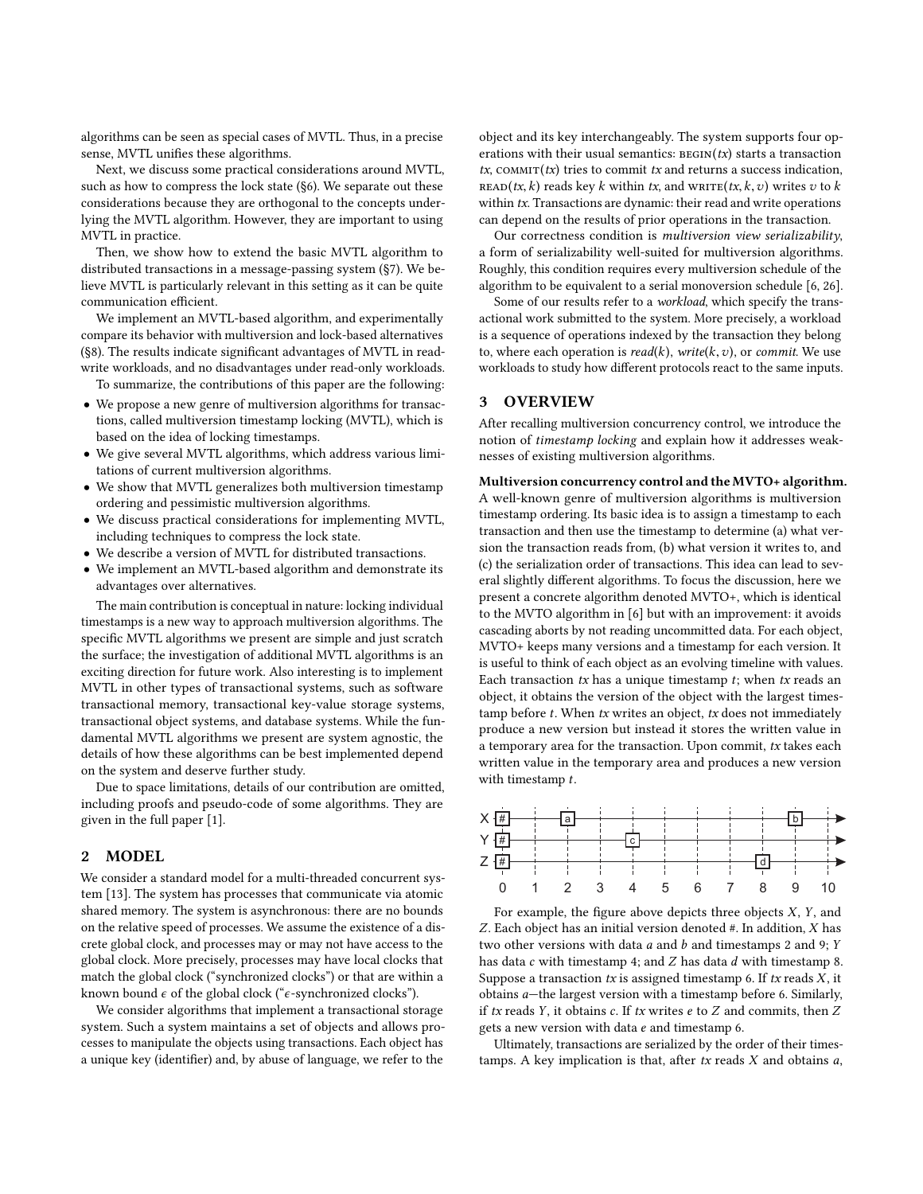algorithms can be seen as special cases of MVTL. Thus, in a precise sense, MVTL unifies these algorithms.

Next, we discuss some practical considerations around MVTL, such as how to compress the lock state ([§6\)](#page-5-0). We separate out these considerations because they are orthogonal to the concepts underlying the MVTL algorithm. However, they are important to using MVTL in practice.

Then, we show how to extend the basic MVTL algorithm to distributed transactions in a message-passing system ([§7\)](#page-6-0). We believe MVTL is particularly relevant in this setting as it can be quite communication efficient.

We implement an MVTL-based algorithm, and experimentally compare its behavior with multiversion and lock-based alternatives ([§8\)](#page-6-1). The results indicate significant advantages of MVTL in readwrite workloads, and no disadvantages under read-only workloads.

To summarize, the contributions of this paper are the following:

- We propose a new genre of multiversion algorithms for transactions, called multiversion timestamp locking (MVTL), which is based on the idea of locking timestamps.
- We give several MVTL algorithms, which address various limitations of current multiversion algorithms.
- We show that MVTL generalizes both multiversion timestamp ordering and pessimistic multiversion algorithms.
- We discuss practical considerations for implementing MVTL, including techniques to compress the lock state.
- We describe a version of MVTL for distributed transactions.
- We implement an MVTL-based algorithm and demonstrate its advantages over alternatives.

The main contribution is conceptual in nature: locking individual timestamps is a new way to approach multiversion algorithms. The specific MVTL algorithms we present are simple and just scratch the surface; the investigation of additional MVTL algorithms is an exciting direction for future work. Also interesting is to implement MVTL in other types of transactional systems, such as software transactional memory, transactional key-value storage systems, transactional object systems, and database systems. While the fundamental MVTL algorithms we present are system agnostic, the details of how these algorithms can be best implemented depend on the system and deserve further study.

Due to space limitations, details of our contribution are omitted, including proofs and pseudo-code of some algorithms. They are given in the full paper [\[1\]](#page-9-16).

### 2 MODEL

We consider a standard model for a multi-threaded concurrent system [\[13\]](#page-9-17). The system has processes that communicate via atomic shared memory. The system is asynchronous: there are no bounds on the relative speed of processes. We assume the existence of a discrete global clock, and processes may or may not have access to the global clock. More precisely, processes may have local clocks that match the global clock ("synchronized clocks") or that are within a known bound  $\epsilon$  of the global clock (" $\epsilon$ -synchronized clocks").

We consider algorithms that implement a transactional storage system. Such a system maintains a set of objects and allows processes to manipulate the objects using transactions. Each object has a unique key (identifier) and, by abuse of language, we refer to the

object and its key interchangeably. The system supports four operations with their usual semantics:  $BEGIN(tx)$  starts a transaction  $tx$ , COMMIT $(tx)$  tries to commit tx and returns a success indication, READ(tx, k) reads key k within tx, and  $\text{WRITE}(tx, k, v)$  writes v to k within tx. Transactions are dynamic: their read and write operations can depend on the results of prior operations in the transaction.

Our correctness condition is multiversion view serializability, a form of serializability well-suited for multiversion algorithms. Roughly, this condition requires every multiversion schedule of the algorithm to be equivalent to a serial monoversion schedule [\[6,](#page-9-1) [26\]](#page-9-2).

Some of our results refer to a workload, which specify the transactional work submitted to the system. More precisely, a workload is a sequence of operations indexed by the transaction they belong to, where each operation is  $read(k)$ , write(k, v), or commit. We use workloads to study how different protocols react to the same inputs.

## 3 OVERVIEW

After recalling multiversion concurrency control, we introduce the notion of timestamp locking and explain how it addresses weaknesses of existing multiversion algorithms.

Multiversion concurrency control and the MVTO+ algorithm. A well-known genre of multiversion algorithms is multiversion timestamp ordering. Its basic idea is to assign a timestamp to each transaction and then use the timestamp to determine (a) what version the transaction reads from, (b) what version it writes to, and (c) the serialization order of transactions. This idea can lead to several slightly different algorithms. To focus the discussion, here we present a concrete algorithm denoted MVTO+, which is identical to the MVTO algorithm in [\[6\]](#page-9-1) but with an improvement: it avoids cascading aborts by not reading uncommitted data. For each object, MVTO+ keeps many versions and a timestamp for each version. It is useful to think of each object as an evolving timeline with values. Each transaction  $tx$  has a unique timestamp  $t$ ; when  $tx$  reads an object, it obtains the version of the object with the largest timestamp before  $t$ . When  $tx$  writes an object,  $tx$  does not immediately produce a new version but instead it stores the written value in a temporary area for the transaction. Upon commit, tx takes each written value in the temporary area and produces a new version with timestamp  $t$ .



For example, the figure above depicts three objects  $X$ ,  $Y$ , and Z. Each object has an initial version denoted #. In addition, X has two other versions with data  $a$  and  $b$  and timestamps 2 and 9;  $Y$ has data c with timestamp 4; and Z has data d with timestamp 8. Suppose a transaction  $tx$  is assigned timestamp 6. If  $tx$  reads  $X$ , it obtains a—the largest version with a timestamp before 6. Similarly, if  $tx$  reads  $Y$ , it obtains  $c$ . If  $tx$  writes  $e$  to  $Z$  and commits, then  $Z$ gets a new version with data e and timestamp 6.

Ultimately, transactions are serialized by the order of their timestamps. A key implication is that, after  $tx$  reads  $X$  and obtains  $a$ ,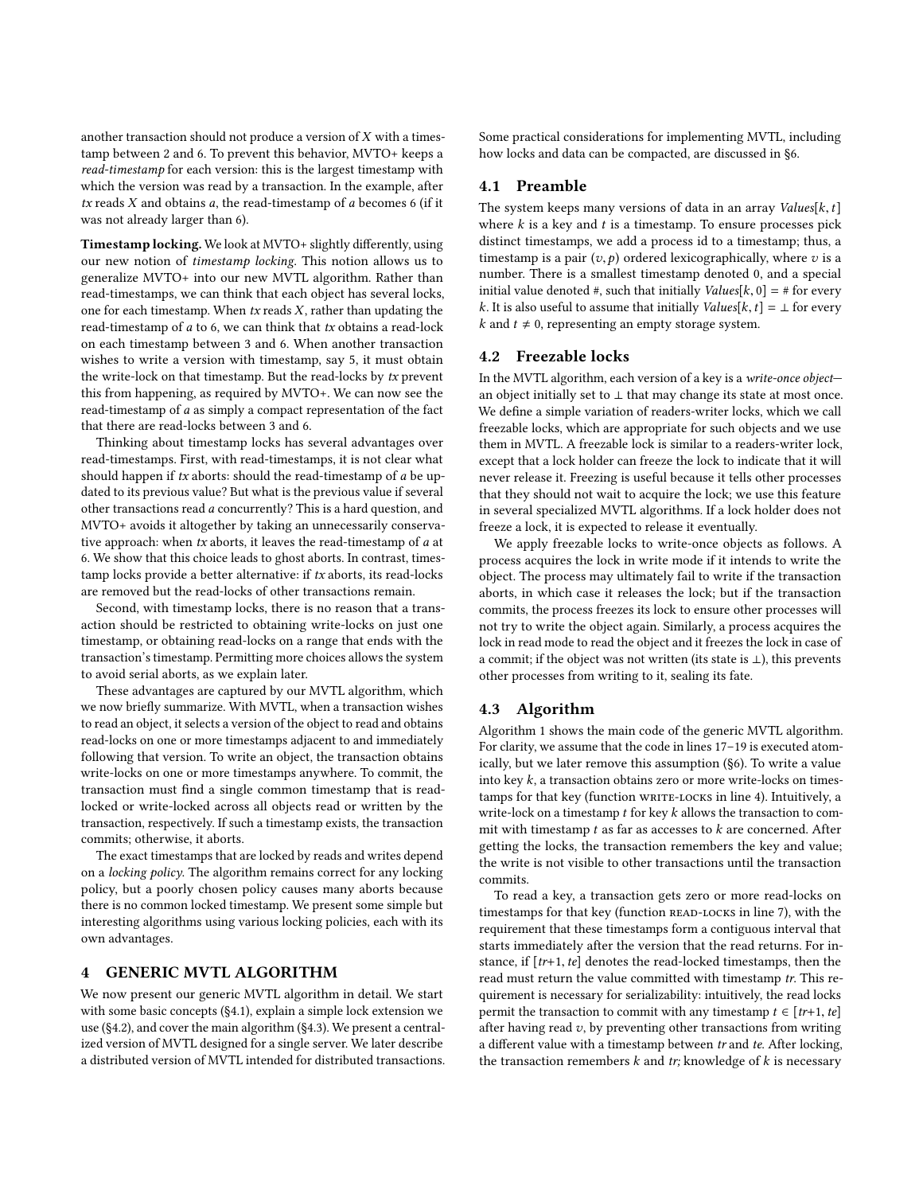another transaction should not produce a version of X with a timestamp between 2 and 6. To prevent this behavior, MVTO+ keeps a read-timestamp for each version: this is the largest timestamp with which the version was read by a transaction. In the example, after  $tx$  reads  $X$  and obtains  $a$ , the read-timestamp of  $a$  becomes 6 (if it was not already larger than 6).

Timestamp locking. We look at MVTO+ slightly differently, using our new notion of timestamp locking. This notion allows us to generalize MVTO+ into our new MVTL algorithm. Rather than read-timestamps, we can think that each object has several locks, one for each timestamp. When  $tx$  reads  $X$ , rather than updating the read-timestamp of a to 6, we can think that tx obtains a read-lock on each timestamp between 3 and 6. When another transaction wishes to write a version with timestamp, say 5, it must obtain the write-lock on that timestamp. But the read-locks by tx prevent this from happening, as required by MVTO+. We can now see the read-timestamp of a as simply a compact representation of the fact that there are read-locks between 3 and 6.

Thinking about timestamp locks has several advantages over read-timestamps. First, with read-timestamps, it is not clear what should happen if  $tx$  aborts: should the read-timestamp of  $a$  be updated to its previous value? But what is the previous value if several other transactions read a concurrently? This is a hard question, and MVTO+ avoids it altogether by taking an unnecessarily conservative approach: when tx aborts, it leaves the read-timestamp of a at 6. We show that this choice leads to ghost aborts. In contrast, timestamp locks provide a better alternative: if tx aborts, its read-locks are removed but the read-locks of other transactions remain.

Second, with timestamp locks, there is no reason that a transaction should be restricted to obtaining write-locks on just one timestamp, or obtaining read-locks on a range that ends with the transaction's timestamp. Permitting more choices allows the system to avoid serial aborts, as we explain later.

These advantages are captured by our MVTL algorithm, which we now briefly summarize. With MVTL, when a transaction wishes to read an object, it selects a version of the object to read and obtains read-locks on one or more timestamps adjacent to and immediately following that version. To write an object, the transaction obtains write-locks on one or more timestamps anywhere. To commit, the transaction must find a single common timestamp that is readlocked or write-locked across all objects read or written by the transaction, respectively. If such a timestamp exists, the transaction commits; otherwise, it aborts.

The exact timestamps that are locked by reads and writes depend on a locking policy. The algorithm remains correct for any locking policy, but a poorly chosen policy causes many aborts because there is no common locked timestamp. We present some simple but interesting algorithms using various locking policies, each with its own advantages.

# <span id="page-2-0"></span>4 GENERIC MVTL ALGORITHM

We now present our generic MVTL algorithm in detail. We start with some basic concepts ([§4.1\)](#page-2-1), explain a simple lock extension we use ([§4.2\)](#page-2-2), and cover the main algorithm ([§4.3\)](#page-2-3). We present a centralized version of MVTL designed for a single server. We later describe a distributed version of MVTL intended for distributed transactions.

Some practical considerations for implementing MVTL, including how locks and data can be compacted, are discussed in [§6.](#page-5-0)

# <span id="page-2-1"></span>4.1 Preamble

The system keeps many versions of data in an array  $Values[k, t]$ where  $k$  is a key and  $t$  is a timestamp. To ensure processes pick distinct timestamps, we add a process id to a timestamp; thus, a timestamp is a pair  $(v, p)$  ordered lexicographically, where  $v$  is a number. There is a smallest timestamp denoted 0, and a special initial value denoted #, such that initially  $Values[k, 0] = #$  for every k. It is also useful to assume that initially  $Values[k, t] = \bot$  for every  $k$  and  $t \neq 0$ , representing an empty storage system.

## <span id="page-2-2"></span>4.2 Freezable locks

In the MVTL algorithm, each version of a key is a write-once object an object initially set to  $\perp$  that may change its state at most once. We define a simple variation of readers-writer locks, which we call freezable locks, which are appropriate for such objects and we use them in MVTL. A freezable lock is similar to a readers-writer lock, except that a lock holder can freeze the lock to indicate that it will never release it. Freezing is useful because it tells other processes that they should not wait to acquire the lock; we use this feature in several specialized MVTL algorithms. If a lock holder does not freeze a lock, it is expected to release it eventually.

We apply freezable locks to write-once objects as follows. A process acquires the lock in write mode if it intends to write the object. The process may ultimately fail to write if the transaction aborts, in which case it releases the lock; but if the transaction commits, the process freezes its lock to ensure other processes will not try to write the object again. Similarly, a process acquires the lock in read mode to read the object and it freezes the lock in case of a commit; if the object was not written (its state is ⊥), this prevents other processes from writing to it, sealing its fate.

#### <span id="page-2-3"></span>4.3 Algorithm

Algorithm [1](#page-3-1) shows the main code of the generic MVTL algorithm. For clarity, we assume that the code in lines [17–19](#page-3-1) is executed atomically, but we later remove this assumption ([§6\)](#page-5-0). To write a value into key  $k$ , a transaction obtains zero or more write-locks on times-tamps for that key (function wRITE-LOCKS in line [4\)](#page-3-1). Intuitively, a write-lock on a timestamp  $t$  for key  $k$  allows the transaction to commit with timestamp  $t$  as far as accesses to  $k$  are concerned. After getting the locks, the transaction remembers the key and value; the write is not visible to other transactions until the transaction commits.

To read a key, a transaction gets zero or more read-locks on timestamps for that key (function READ-LOCKS in line [7\)](#page-3-1), with the requirement that these timestamps form a contiguous interval that starts immediately after the version that the read returns. For instance, if  $[tr+1, te]$  denotes the read-locked timestamps, then the read must return the value committed with timestamp tr. This requirement is necessary for serializability: intuitively, the read locks permit the transaction to commit with any timestamp  $t \in [tr+1, te]$ after having read  $v$ , by preventing other transactions from writing a different value with a timestamp between  $tr$  and  $te$ . After locking, the transaction remembers  $k$  and  $tr$ ; knowledge of  $k$  is necessary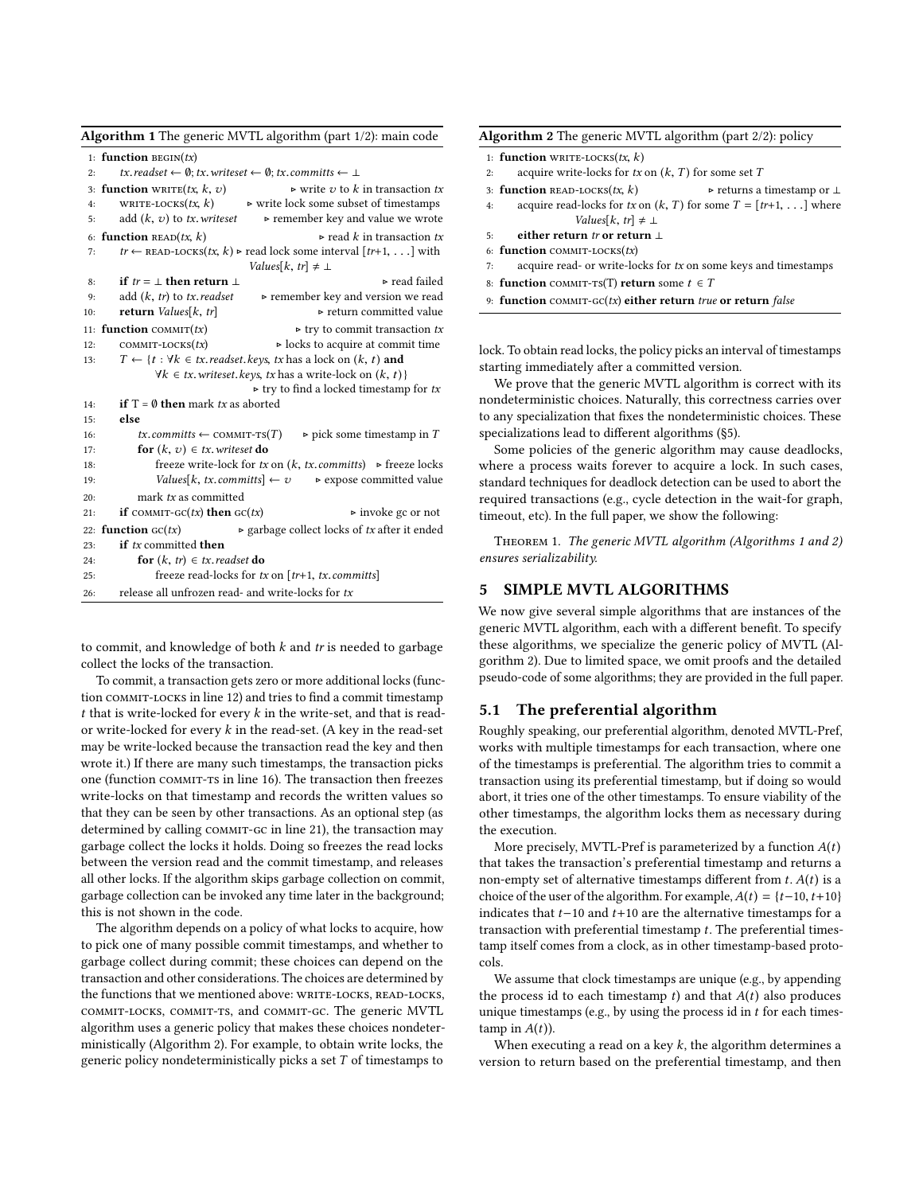<span id="page-3-1"></span>

|     | Algorithm 1 The generic MVTL algorithm (part 1/2): main code                                                  |  |  |  |  |  |  |
|-----|---------------------------------------------------------------------------------------------------------------|--|--|--|--|--|--|
|     | 1: function BEGIN $(tx)$                                                                                      |  |  |  |  |  |  |
| 2:  | tx.readset $\leftarrow \emptyset$ ; tx.writeset $\leftarrow \emptyset$ ; tx.committs $\leftarrow \perp$       |  |  |  |  |  |  |
|     | 3: function WRITE $(tx, k, v)$<br>$\triangleright$ write v to k in transaction tx                             |  |  |  |  |  |  |
| 4:  | WRITE-LOCKS(tx, k) $\triangleright$ write lock some subset of timestamps                                      |  |  |  |  |  |  |
| 5:  | add $(k, v)$ to tx. writeset<br>$\triangleright$ remember key and value we wrote                              |  |  |  |  |  |  |
|     | $\triangleright$ read k in transaction tx<br>6: function READ $(tx, k)$                                       |  |  |  |  |  |  |
| 7:  | $tr \leftarrow$ READ-LOCKS $(tx, k)$ > read lock some interval $[tr+1, \ldots]$ with                          |  |  |  |  |  |  |
|     | Values[ $k, tr$ ] $\neq \perp$                                                                                |  |  |  |  |  |  |
| 8:  | $\triangleright$ read failed<br>if $tr = \perp$ then return $\perp$                                           |  |  |  |  |  |  |
| 9:  | add $(k, tr)$ to tx. readset<br>► remember key and version we read                                            |  |  |  |  |  |  |
| 10: | ► return committed value<br>return Values[ $k, tr$ ]                                                          |  |  |  |  |  |  |
|     | 11: function COMMIT $(tx)$<br>$\triangleright$ try to commit transaction tx                                   |  |  |  |  |  |  |
| 12: | $COMMIT-LOCKS(tx)$<br>⊳ locks to acquire at commit time                                                       |  |  |  |  |  |  |
| 13: | $T \leftarrow \{t : \forall k \in tx.\text{readset}.\text{keys},\text{tx has a lock on } (k, t) \text{ and }$ |  |  |  |  |  |  |
|     | $\forall k \in tx$ . writeset. keys, tx has a write-lock on $(k, t)$ }                                        |  |  |  |  |  |  |
| 14: | $\triangleright$ try to find a locked timestamp for tx<br>if $T = \emptyset$ then mark tx as aborted          |  |  |  |  |  |  |
| 15: | else                                                                                                          |  |  |  |  |  |  |
| 16: | $\triangleright$ pick some timestamp in T<br>$tx. committs \leftarrow \text{COMMIT-TS}(T)$                    |  |  |  |  |  |  |
| 17: | <b>for</b> $(k, v) \in tx$ . writeset <b>do</b>                                                               |  |  |  |  |  |  |
| 18: | freeze write-lock for tx on $(k, tx, committs)$ $\rightarrow$ freeze locks                                    |  |  |  |  |  |  |
| 19: | Values [k, tx. committs] $\leftarrow v$ $\rightarrow$ expose committed value                                  |  |  |  |  |  |  |
| 20: | mark tx as committed                                                                                          |  |  |  |  |  |  |
| 21: | if $commr\text{-}cc(tx)$ then $\text{cc}(tx)$<br>$\triangleright$ invoke gc or not                            |  |  |  |  |  |  |
|     | $\triangleright$ garbage collect locks of tx after it ended<br>22: <b>function</b> $GC(tx)$                   |  |  |  |  |  |  |
| 23: | if tx committed then                                                                                          |  |  |  |  |  |  |
| 24: | for $(k, tr) \in tx$ readset do                                                                               |  |  |  |  |  |  |
| 25: | freeze read-locks for $tx$ on $[tr+1, tx, committs]$                                                          |  |  |  |  |  |  |
| 26: | release all unfrozen read- and write-locks for tx                                                             |  |  |  |  |  |  |

to commit, and knowledge of both  $k$  and  $tr$  is needed to garbage collect the locks of the transaction.

To commit, a transaction gets zero or more additional locks (function commit-locks in line [12\)](#page-3-1) and tries to find a commit timestamp  $t$  that is write-locked for every  $k$  in the write-set, and that is reador write-locked for every  $k$  in the read-set. (A key in the read-set may be write-locked because the transaction read the key and then wrote it.) If there are many such timestamps, the transaction picks one (function commit-ts in line [16\)](#page-3-1). The transaction then freezes write-locks on that timestamp and records the written values so that they can be seen by other transactions. As an optional step (as determined by calling COMMIT-GC in line [21\)](#page-3-1), the transaction may garbage collect the locks it holds. Doing so freezes the read locks between the version read and the commit timestamp, and releases all other locks. If the algorithm skips garbage collection on commit, garbage collection can be invoked any time later in the background; this is not shown in the code.

The algorithm depends on a policy of what locks to acquire, how to pick one of many possible commit timestamps, and whether to garbage collect during commit; these choices can depend on the transaction and other considerations. The choices are determined by the functions that we mentioned above: WRITE-LOCKS, READ-LOCKS, commit-locks, commit-ts, and commit-gc. The generic MVTL algorithm uses a generic policy that makes these choices nondeterministically (Algorithm [2\)](#page-3-2). For example, to obtain write locks, the generic policy nondeterministically picks a set  $T$  of timestamps to

<span id="page-3-2"></span>

| <b>Algorithm 2</b> The generic MVTL algorithm (part $2/2$ ): policy |                                                       |                                                                          |  |  |  |
|---------------------------------------------------------------------|-------------------------------------------------------|--------------------------------------------------------------------------|--|--|--|
|                                                                     | 1: function WRITE-LOCKS $(tx, k)$                     |                                                                          |  |  |  |
| 2:                                                                  | acquire write-locks for tx on $(k, T)$ for some set T |                                                                          |  |  |  |
|                                                                     | 3: function READ-LOCKS $(tx, k)$                      | $\triangleright$ returns a timestamp or $\perp$                          |  |  |  |
| 4:                                                                  |                                                       | acquire read-locks for tx on $(k, T)$ for some $T = [tr+1, \dots]$ where |  |  |  |

- 4: acquire read-locks for tx on  $(k, T)$  for some  $T = [tr+1, \dots]$  where Values[ $k, tr$ ]  $\neq \perp$
- 5: either return tr or return ⊥ 6: function COMMIT-LOCKS $(tx)$
- $7:$  acquire read- or write-locks for  $tx$  on some keys and timestamps
- 8: function COMMIT-TS(T) return some  $t \in T$
- 9: function  $\text{comm-}\text{GC}(tx)$  either return true or return false

lock. To obtain read locks, the policy picks an interval of timestamps starting immediately after a committed version.

We prove that the generic MVTL algorithm is correct with its nondeterministic choices. Naturally, this correctness carries over to any specialization that fixes the nondeterministic choices. These specializations lead to different algorithms ([§5\)](#page-3-0).

Some policies of the generic algorithm may cause deadlocks, where a process waits forever to acquire a lock. In such cases, standard techniques for deadlock detection can be used to abort the required transactions (e.g., cycle detection in the wait-for graph, timeout, etc). In the full paper, we show the following:

Theorem 1. The generic MVTL algorithm (Algorithms [1](#page-3-1) and [2\)](#page-3-2) ensures serializability.

# <span id="page-3-0"></span>5 SIMPLE MVTL ALGORITHMS

We now give several simple algorithms that are instances of the generic MVTL algorithm, each with a different benefit. To specify these algorithms, we specialize the generic policy of MVTL (Algorithm [2\)](#page-3-2). Due to limited space, we omit proofs and the detailed pseudo-code of some algorithms; they are provided in the full paper.

# 5.1 The preferential algorithm

Roughly speaking, our preferential algorithm, denoted MVTL-Pref, works with multiple timestamps for each transaction, where one of the timestamps is preferential. The algorithm tries to commit a transaction using its preferential timestamp, but if doing so would abort, it tries one of the other timestamps. To ensure viability of the other timestamps, the algorithm locks them as necessary during the execution.

More precisely, MVTL-Pref is parameterized by a function  $A(t)$ that takes the transaction's preferential timestamp and returns a non-empty set of alternative timestamps different from  $t$ .  $A(t)$  is a choice of the user of the algorithm. For example,  $A(t) = \{t-10, t+10\}$ indicates that  $t-10$  and  $t+10$  are the alternative timestamps for a transaction with preferential timestamp  $t$ . The preferential timestamp itself comes from a clock, as in other timestamp-based protocols.

We assume that clock timestamps are unique (e.g., by appending the process id to each timestamp  $t$ ) and that  $A(t)$  also produces unique timestamps (e.g., by using the process id in  $t$  for each timestamp in  $A(t)$ ).

When executing a read on a key  $k$ , the algorithm determines a version to return based on the preferential timestamp, and then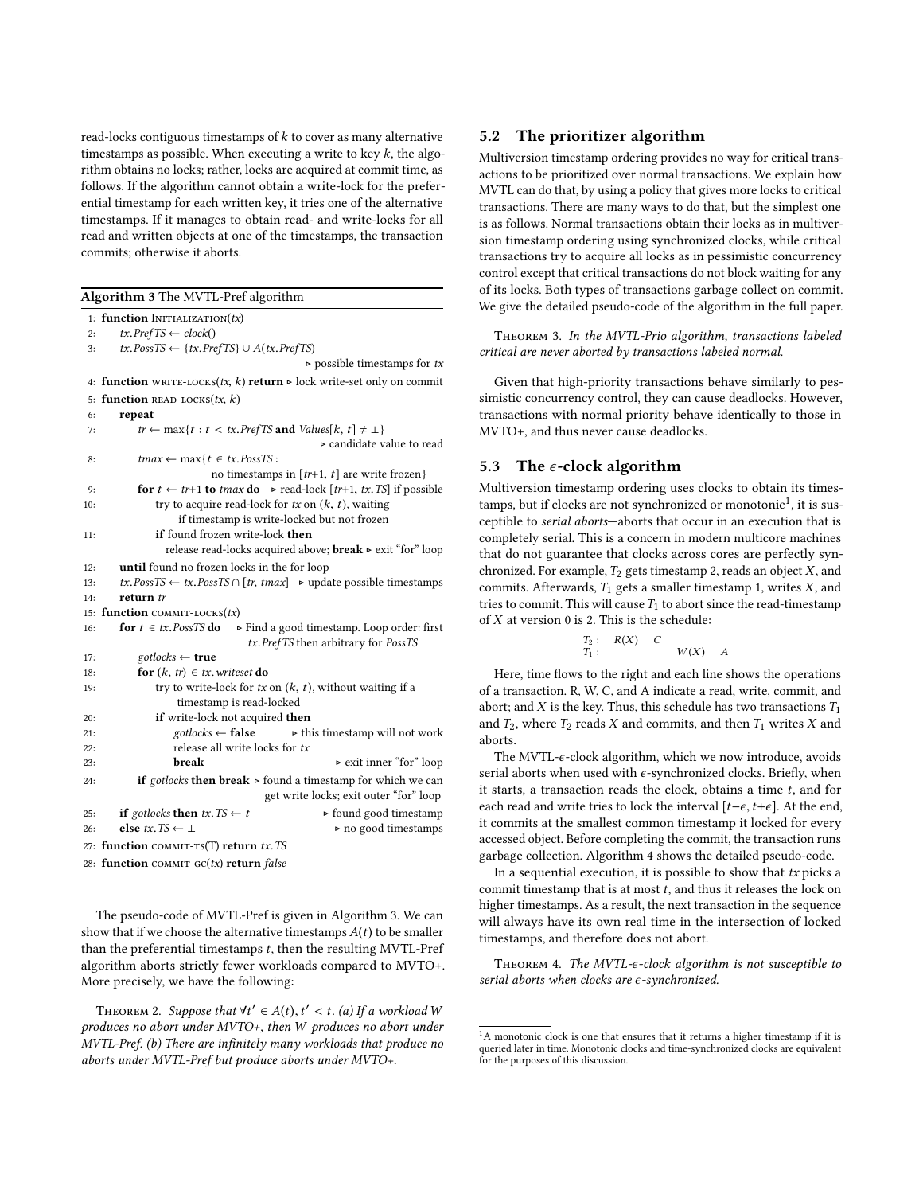read-locks contiguous timestamps of  $k$  to cover as many alternative timestamps as possible. When executing a write to key  $k$ , the algorithm obtains no locks; rather, locks are acquired at commit time, as follows. If the algorithm cannot obtain a write-lock for the preferential timestamp for each written key, it tries one of the alternative timestamps. If it manages to obtain read- and write-locks for all read and written objects at one of the timestamps, the transaction commits; otherwise it aborts.

<span id="page-4-0"></span>

|     | Algorithm 3 The MVTL-Pref algorithm                                                         |  |  |  |  |
|-----|---------------------------------------------------------------------------------------------|--|--|--|--|
|     | 1: function INITIALIZATION $(tx)$                                                           |  |  |  |  |
| 2:  | $tx. PrefTS \leftarrow clock()$                                                             |  |  |  |  |
| 3:  | $tx. PossTS \leftarrow \{tx. PrefTS\} \cup A(tx. PrefTS)$                                   |  |  |  |  |
|     | $\triangleright$ possible timestamps for tx                                                 |  |  |  |  |
|     | 4: function WRITE-LOCKS(tx, k) return $\triangleright$ lock write-set only on commit        |  |  |  |  |
|     | 5: function READ-LOCKS $(tx, k)$                                                            |  |  |  |  |
| 6:  | repeat                                                                                      |  |  |  |  |
| 7:  | $tr \leftarrow \max\{t : t < tx.\text{Prefix} \text{ and } \text{Values}[k, t] \neq \bot\}$ |  |  |  |  |
|     | $\triangleright$ candidate value to read                                                    |  |  |  |  |
| 8:  | $tmax \leftarrow max\{t \in tx.PossTS:$                                                     |  |  |  |  |
|     | no timestamps in $[tr+1, t]$ are write frozen}                                              |  |  |  |  |
| 9:  | for $t \leftarrow tr+1$ to tmax do $\triangleright$ read-lock [tr+1, tx. TS] if possible    |  |  |  |  |
| 10: | try to acquire read-lock for $tx$ on $(k, t)$ , waiting                                     |  |  |  |  |
|     | if timestamp is write-locked but not frozen                                                 |  |  |  |  |
| 11: | <b>if</b> found frozen write-lock <b>then</b>                                               |  |  |  |  |
|     | release read-locks acquired above; $break \triangleright$ exit "for" loop                   |  |  |  |  |
| 12: | until found no frozen locks in the for loop                                                 |  |  |  |  |
| 13: | $tx.PossTS \leftarrow tx.PossTS \cap [tr, tmax] \rightarrow update possible timestamps$     |  |  |  |  |
| 14: | return tr                                                                                   |  |  |  |  |
|     | 15: function COMMIT-LOCKS(tx)                                                               |  |  |  |  |
| 16: | for $t \in tx$ . PossTS do<br>$\triangleright$ Find a good timestamp. Loop order: first     |  |  |  |  |
|     | tx.PrefTS then arbitrary for PossTS                                                         |  |  |  |  |
| 17: | $gotlocks \leftarrow true$                                                                  |  |  |  |  |
| 18: | for $(k, tr) \in tx$ . writeset do                                                          |  |  |  |  |
| 19: | try to write-lock for $tx$ on $(k, t)$ , without waiting if a                               |  |  |  |  |
|     | timestamp is read-locked                                                                    |  |  |  |  |
| 20: | if write-lock not acquired then                                                             |  |  |  |  |
| 21: | $\triangleright$ this timestamp will not work<br>$gotlocks \leftarrow false$                |  |  |  |  |
| 22: | release all write locks for tx                                                              |  |  |  |  |
| 23: | break<br>► exit inner "for" loop                                                            |  |  |  |  |
| 24: | <b>if</b> gotlocks then break $\triangleright$ found a timestamp for which we can           |  |  |  |  |
|     | get write locks; exit outer "for" loop                                                      |  |  |  |  |
| 25: | if gotlocks then $tx. TS \leftarrow t$<br>$\triangleright$ found good timestamp             |  |  |  |  |
| 26: | else tx. $TS \leftarrow \perp$<br>► no good timestamps                                      |  |  |  |  |
|     | 27: function COMMIT-TS(T) return tx. TS                                                     |  |  |  |  |
|     | 28: function COMMIT-GC(tx) return false                                                     |  |  |  |  |

The pseudo-code of MVTL-Pref is given in Algorithm [3.](#page-4-0) We can show that if we choose the alternative timestamps  $A(t)$  to be smaller than the preferential timestamps  $t$ , then the resulting MVTL-Pref algorithm aborts strictly fewer workloads compared to MVTO+. More precisely, we have the following:

THEOREM 2. Suppose that  $\forall t' \in A(t), t' < t$ . (a) If a workload W produces no abort under MVTO+, then W produces no abort under MVTL-Pref. (b) There are infinitely many workloads that produce no aborts under MVTL-Pref but produce aborts under MVTO+.

# 5.2 The prioritizer algorithm

Multiversion timestamp ordering provides no way for critical transactions to be prioritized over normal transactions. We explain how MVTL can do that, by using a policy that gives more locks to critical transactions. There are many ways to do that, but the simplest one is as follows. Normal transactions obtain their locks as in multiversion timestamp ordering using synchronized clocks, while critical transactions try to acquire all locks as in pessimistic concurrency control except that critical transactions do not block waiting for any of its locks. Both types of transactions garbage collect on commit. We give the detailed pseudo-code of the algorithm in the full paper.

Theorem 3. In the MVTL-Prio algorithm, transactions labeled critical are never aborted by transactions labeled normal.

Given that high-priority transactions behave similarly to pessimistic concurrency control, they can cause deadlocks. However, transactions with normal priority behave identically to those in MVTO+, and thus never cause deadlocks.

## <span id="page-4-2"></span>5.3 The  $\epsilon$ -clock algorithm

Multiversion timestamp ordering uses clocks to obtain its timestamps, but if clocks are not synchronized or monotonic $^1$  $^1$ , it is susceptible to serial aborts—aborts that occur in an execution that is completely serial. This is a concern in modern multicore machines that do not guarantee that clocks across cores are perfectly synchronized. For example,  $T_2$  gets timestamp 2, reads an object  $X$ , and commits. Afterwards,  $T_1$  gets a smaller timestamp 1, writes  $X$ , and tries to commit. This will cause  $T_1$  to abort since the read-timestamp of  $X$  at version 0 is 2. This is the schedule:

$$
T_2: R(X) \quad C
$$
  

$$
T_1: W(X) \quad A
$$

Here, time flows to the right and each line shows the operations of a transaction. R, W, C, and A indicate a read, write, commit, and abort; and X is the key. Thus, this schedule has two transactions  $T_1$ and  $T_2$ , where  $T_2$  reads X and commits, and then  $T_1$  writes X and aborts.

The MVTL- $\epsilon$ -clock algorithm, which we now introduce, avoids serial aborts when used with  $\epsilon$ -synchronized clocks. Briefly, when it starts, a transaction reads the clock, obtains a time  $t$ , and for each read and write tries to lock the interval  $[t-\epsilon, t+\epsilon]$ . At the end, it commits at the smallest common timestamp it locked for every accessed object. Before completing the commit, the transaction runs garbage collection. Algorithm [4](#page-5-1) shows the detailed pseudo-code.

In a sequential execution, it is possible to show that  $tx$  picks a commit timestamp that is at most  $t$ , and thus it releases the lock on higher timestamps. As a result, the next transaction in the sequence will always have its own real time in the intersection of locked timestamps, and therefore does not abort.

THEOREM 4. The MVTL- $\epsilon$ -clock algorithm is not susceptible to serial aborts when clocks are  $\epsilon$ -synchronized.

<span id="page-4-1"></span> $^1\mathrm{A}$  monotonic clock is one that ensures that it returns a higher timestamp if it is queried later in time. Monotonic clocks and time-synchronized clocks are equivalent for the purposes of this discussion.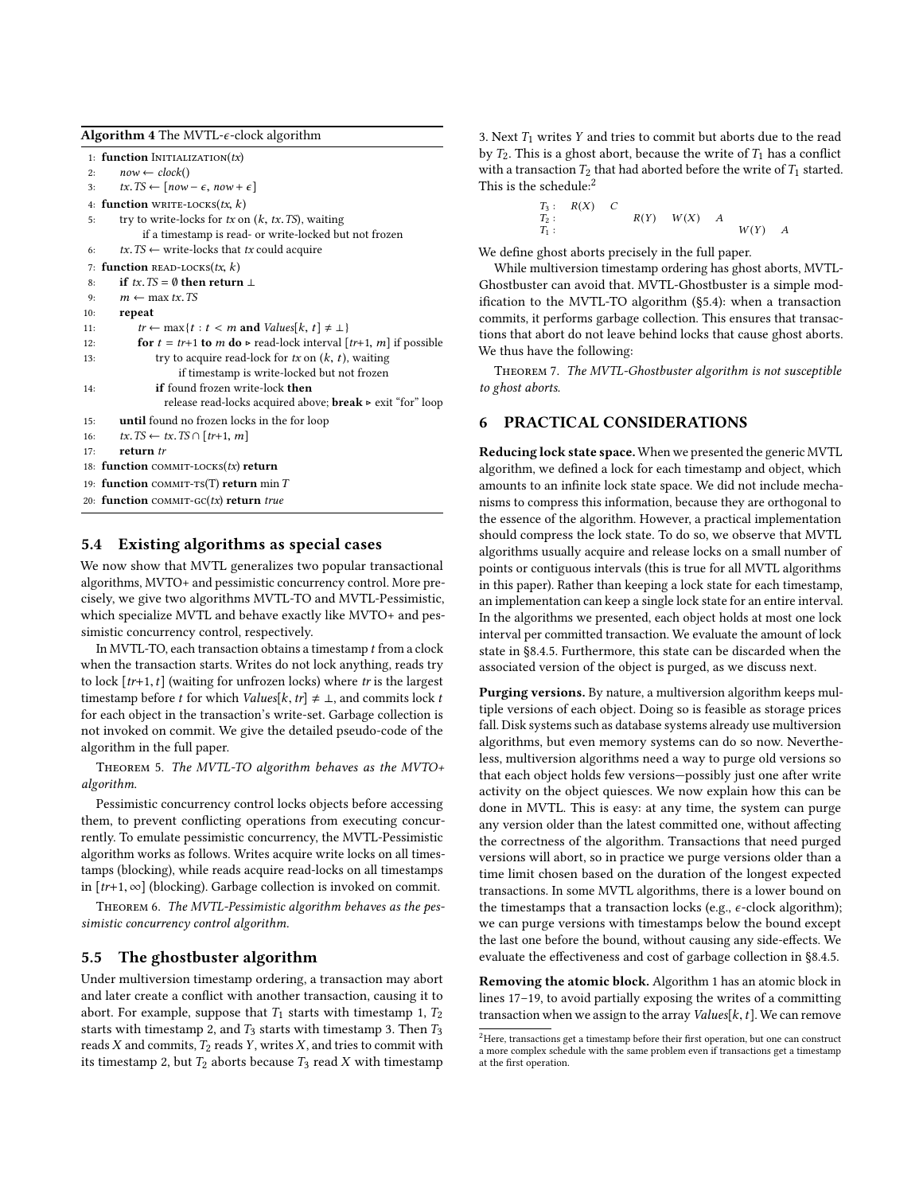<span id="page-5-1"></span>

| Algorithm 4 The MVTL- $\epsilon$ -clock algorithm |  |  |
|---------------------------------------------------|--|--|
|---------------------------------------------------|--|--|

1: function  $Inertialization(tx)$ 2:  $now \leftarrow clock()$ <br>3:  $tx \text{ TS} \leftarrow \text{[now]}$  $tx. TS \leftarrow [now - \epsilon, now + \epsilon]$ 4: **function** WRITE-LOCKS( $tx$ ,  $k$ )<br>5: try to write-locks for  $tx$  or try to write-locks for  $tx$  on  $(k, tx. TS)$ , waiting if a timestamp is read- or write-locked but not frozen 6:  $tx.TS \leftarrow write-locks$  that  $tx$  could acquire 7: function READ-LOCKS(*tx*, *k*)<br>8: if *tx*, *TS* = 0 then return 8: **if**  $tx. TS = \emptyset$  **then return**  $\perp$ <br>9:  $m \leftarrow \max tx. TS$ 9:  $m \leftarrow \max tx. TS$ <br>10: **repeat** repeat 11:  $tr \leftarrow \max\{t : t < m \text{ and } Values[k, t] \neq \bot\}$ <br>12:  $\textbf{for } t = tr+1 \textbf{ to } m \textbf{ do } \triangleright \textbf{ read-lock interval } [$ 12: **for**  $t = tr+1$  **to**  $m$  **do**  $\triangleright$  read-lock interval  $[tr+1, m]$  if possible 13: try to acquire read-lock for  $tx$  on  $(k, t)$ , waiting if timestamp is write-locked but not frozen 14: if found frozen write-lock then release read-locks acquired above;  $break \triangleright$  exit "for" loop 15: until found no frozen locks in the for loop 16:  $tx. TS \leftarrow tx. TS \cap [tr+1, m]$ <br>17: **return** tr return tr 18: function COMMIT-LOCKS $(tx)$  return 19: function COMMIT-TS(T) return min  $T$ 20: function COMMIT-GC( $tx$ ) return true

# <span id="page-5-3"></span>5.4 Existing algorithms as special cases

We now show that MVTL generalizes two popular transactional algorithms, MVTO+ and pessimistic concurrency control. More precisely, we give two algorithms MVTL-TO and MVTL-Pessimistic, which specialize MVTL and behave exactly like MVTO+ and pessimistic concurrency control, respectively.

In MVTL-TO, each transaction obtains a timestamp  $t$  from a clock when the transaction starts. Writes do not lock anything, reads try to lock  $[tr+1, t]$  (waiting for unfrozen locks) where tr is the largest timestamp before t for which *Values*[ $k$ ,  $tr$ ]  $\neq \bot$ , and commits lock t for each object in the transaction's write-set. Garbage collection is not invoked on commit. We give the detailed pseudo-code of the algorithm in the full paper.

Theorem 5. The MVTL-TO algorithm behaves as the MVTO+ algorithm.

Pessimistic concurrency control locks objects before accessing them, to prevent conflicting operations from executing concurrently. To emulate pessimistic concurrency, the MVTL-Pessimistic algorithm works as follows. Writes acquire write locks on all timestamps (blocking), while reads acquire read-locks on all timestamps in  $[tr+1, \infty]$  (blocking). Garbage collection is invoked on commit.

Theorem 6. The MVTL-Pessimistic algorithm behaves as the pessimistic concurrency control algorithm.

#### 5.5 The ghostbuster algorithm

Under multiversion timestamp ordering, a transaction may abort and later create a conflict with another transaction, causing it to abort. For example, suppose that  $T_1$  starts with timestamp 1,  $T_2$ starts with timestamp 2, and  $T_3$  starts with timestamp 3. Then  $T_3$ reads  $X$  and commits,  $T_2$  reads  $Y$ , writes  $X$ , and tries to commit with its timestamp 2, but  $T_2$  aborts because  $T_3$  read X with timestamp 3. Next  $T_1$  writes  $Y$  and tries to commit but aborts due to the read by  $T_2$ . This is a ghost abort, because the write of  $T_1$  has a conflict with a transaction  $T_2$  that had aborted before the write of  $T_1$  started. This is the schedule:<sup>[2](#page-5-2)</sup>

> $T_3: R(X) \subset T_2:$  $T_2$  :  $R(Y)$   $W(X)$  A<br> $T_3$  .  $T_1$ :  $W(Y)$  A

We define ghost aborts precisely in the full paper.

While multiversion timestamp ordering has ghost aborts, MVTL-Ghostbuster can avoid that. MVTL-Ghostbuster is a simple modification to the MVTL-TO algorithm ([§5.4\)](#page-5-3): when a transaction commits, it performs garbage collection. This ensures that transactions that abort do not leave behind locks that cause ghost aborts. We thus have the following:

Theorem 7. The MVTL-Ghostbuster algorithm is not susceptible to ghost aborts.

# <span id="page-5-0"></span>6 PRACTICAL CONSIDERATIONS

Reducing lock state space. When we presented the generic MVTL algorithm, we defined a lock for each timestamp and object, which amounts to an infinite lock state space. We did not include mechanisms to compress this information, because they are orthogonal to the essence of the algorithm. However, a practical implementation should compress the lock state. To do so, we observe that MVTL algorithms usually acquire and release locks on a small number of points or contiguous intervals (this is true for all MVTL algorithms in this paper). Rather than keeping a lock state for each timestamp, an implementation can keep a single lock state for an entire interval. In the algorithms we presented, each object holds at most one lock interval per committed transaction. We evaluate the amount of lock state in [§8.4.5.](#page-8-0) Furthermore, this state can be discarded when the associated version of the object is purged, as we discuss next.

Purging versions. By nature, a multiversion algorithm keeps multiple versions of each object. Doing so is feasible as storage prices fall. Disk systems such as database systems already use multiversion algorithms, but even memory systems can do so now. Nevertheless, multiversion algorithms need a way to purge old versions so that each object holds few versions—possibly just one after write activity on the object quiesces. We now explain how this can be done in MVTL. This is easy: at any time, the system can purge any version older than the latest committed one, without affecting the correctness of the algorithm. Transactions that need purged versions will abort, so in practice we purge versions older than a time limit chosen based on the duration of the longest expected transactions. In some MVTL algorithms, there is a lower bound on the timestamps that a transaction locks (e.g.,  $\epsilon$ -clock algorithm); we can purge versions with timestamps below the bound except the last one before the bound, without causing any side-effects. We evaluate the effectiveness and cost of garbage collection in [§8.4.5.](#page-8-0)

Removing the atomic block. Algorithm [1](#page-3-1) has an atomic block in lines [17–19,](#page-3-1) to avoid partially exposing the writes of a committing transaction when we assign to the array  $Values[k, t]$ . We can remove

<span id="page-5-2"></span> $^2\rm{Here, \, transactions}$  get a timestamp before their first operation, but one can construct a more complex schedule with the same problem even if transactions get a timestamp at the first operation.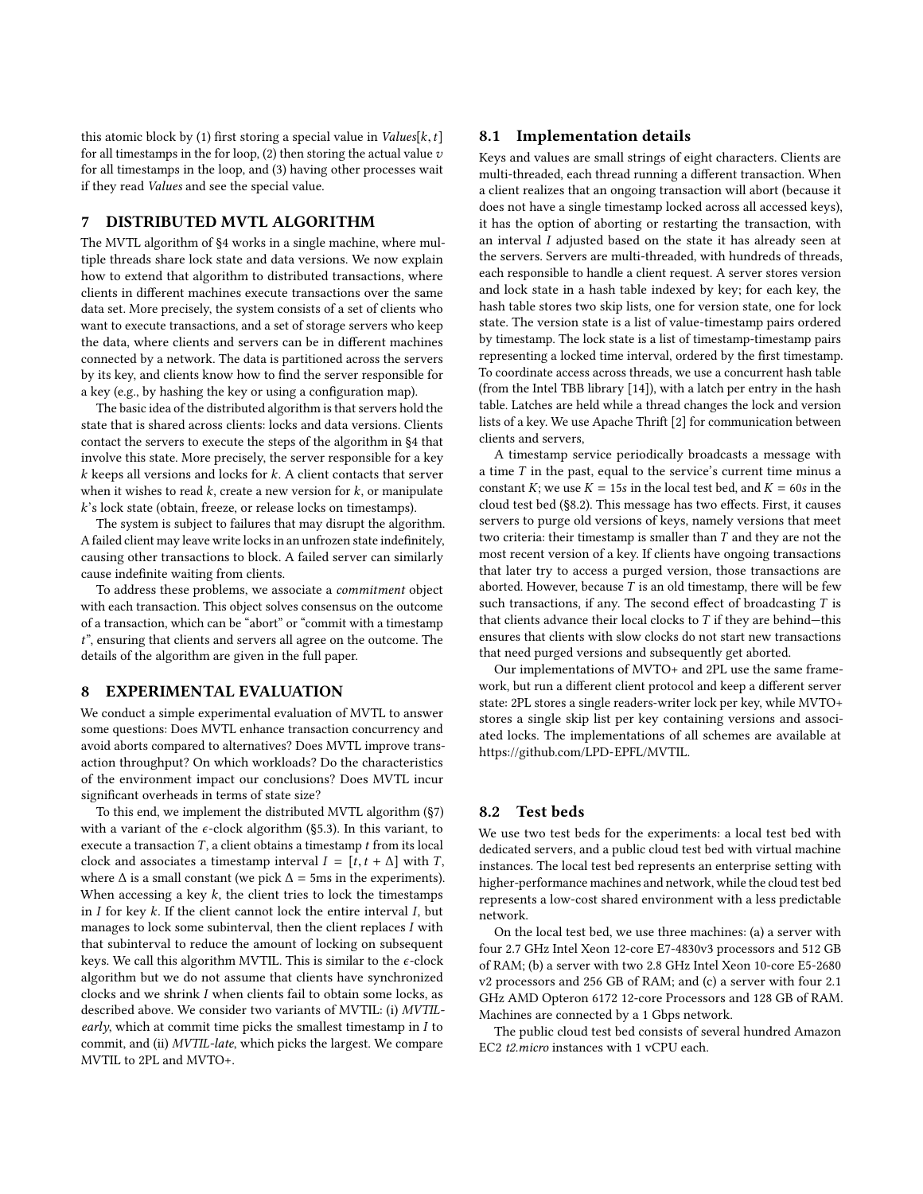this atomic block by (1) first storing a special value in  $Values[k, t]$ for all timestamps in the for loop,  $(2)$  then storing the actual value  $v$ for all timestamps in the loop, and (3) having other processes wait if they read Values and see the special value.

# <span id="page-6-0"></span>7 DISTRIBUTED MVTL ALGORITHM

The MVTL algorithm of [§4](#page-2-0) works in a single machine, where multiple threads share lock state and data versions. We now explain how to extend that algorithm to distributed transactions, where clients in different machines execute transactions over the same data set. More precisely, the system consists of a set of clients who want to execute transactions, and a set of storage servers who keep the data, where clients and servers can be in different machines connected by a network. The data is partitioned across the servers by its key, and clients know how to find the server responsible for a key (e.g., by hashing the key or using a configuration map).

The basic idea of the distributed algorithm is that servers hold the state that is shared across clients: locks and data versions. Clients contact the servers to execute the steps of the algorithm in [§4](#page-2-0) that involve this state. More precisely, the server responsible for a key  $k$  keeps all versions and locks for  $k$ . A client contacts that server when it wishes to read  $k$ , create a new version for  $k$ , or manipulate k's lock state (obtain, freeze, or release locks on timestamps).

The system is subject to failures that may disrupt the algorithm. A failed client may leave write locks in an unfrozen state indefinitely, causing other transactions to block. A failed server can similarly cause indefinite waiting from clients.

To address these problems, we associate a commitment object with each transaction. This object solves consensus on the outcome of a transaction, which can be "abort" or "commit with a timestamp t", ensuring that clients and servers all agree on the outcome. The details of the algorithm are given in the full paper.

## <span id="page-6-1"></span>8 EXPERIMENTAL EVALUATION

We conduct a simple experimental evaluation of MVTL to answer some questions: Does MVTL enhance transaction concurrency and avoid aborts compared to alternatives? Does MVTL improve transaction throughput? On which workloads? Do the characteristics of the environment impact our conclusions? Does MVTL incur significant overheads in terms of state size?

To this end, we implement the distributed MVTL algorithm ([§7\)](#page-6-0) with a variant of the  $\epsilon$ -clock algorithm ([§5.3\)](#page-4-2). In this variant, to execute a transaction  $T$ , a client obtains a timestamp  $t$  from its local clock and associates a timestamp interval  $I = [t, t + \Delta]$  with T, where  $\Delta$  is a small constant (we pick  $\Delta$  = 5ms in the experiments). When accessing a key  $k$ , the client tries to lock the timestamps in  $I$  for key  $k$ . If the client cannot lock the entire interval  $I$ , but manages to lock some subinterval, then the client replaces I with that subinterval to reduce the amount of locking on subsequent keys. We call this algorithm MVTIL. This is similar to the  $\epsilon$ -clock algorithm but we do not assume that clients have synchronized clocks and we shrink I when clients fail to obtain some locks, as described above. We consider two variants of MVTIL: (i) MVTILearly, which at commit time picks the smallest timestamp in  $I$  to commit, and (ii) MVTIL-late, which picks the largest. We compare MVTIL to 2PL and MVTO+.

## 8.1 Implementation details

Keys and values are small strings of eight characters. Clients are multi-threaded, each thread running a different transaction. When a client realizes that an ongoing transaction will abort (because it does not have a single timestamp locked across all accessed keys), it has the option of aborting or restarting the transaction, with an interval I adjusted based on the state it has already seen at the servers. Servers are multi-threaded, with hundreds of threads, each responsible to handle a client request. A server stores version and lock state in a hash table indexed by key; for each key, the hash table stores two skip lists, one for version state, one for lock state. The version state is a list of value-timestamp pairs ordered by timestamp. The lock state is a list of timestamp-timestamp pairs representing a locked time interval, ordered by the first timestamp. To coordinate access across threads, we use a concurrent hash table (from the Intel TBB library [\[14\]](#page-9-18)), with a latch per entry in the hash table. Latches are held while a thread changes the lock and version lists of a key. We use Apache Thrift [\[2\]](#page-9-19) for communication between clients and servers,

A timestamp service periodically broadcasts a message with a time  $T$  in the past, equal to the service's current time minus a constant K; we use  $K = 15s$  in the local test bed, and  $K = 60s$  in the cloud test bed ([§8.2\)](#page-6-2). This message has two effects. First, it causes servers to purge old versions of keys, namely versions that meet two criteria: their timestamp is smaller than T and they are not the most recent version of a key. If clients have ongoing transactions that later try to access a purged version, those transactions are aborted. However, because  $T$  is an old timestamp, there will be few such transactions, if any. The second effect of broadcasting  $T$  is that clients advance their local clocks to  $T$  if they are behind—this ensures that clients with slow clocks do not start new transactions that need purged versions and subsequently get aborted.

Our implementations of MVTO+ and 2PL use the same framework, but run a different client protocol and keep a different server state: 2PL stores a single readers-writer lock per key, while MVTO+ stores a single skip list per key containing versions and associated locks. The implementations of all schemes are available at [https://github.com/LPD-EPFL/MVTIL.](https://github.com/LPD-EPFL/MVTIL)

# <span id="page-6-2"></span>8.2 Test beds

We use two test beds for the experiments: a local test bed with dedicated servers, and a public cloud test bed with virtual machine instances. The local test bed represents an enterprise setting with higher-performance machines and network, while the cloud test bed represents a low-cost shared environment with a less predictable network.

On the local test bed, we use three machines: (a) a server with four 2.7 GHz Intel Xeon 12-core E7-4830v3 processors and 512 GB of RAM; (b) a server with two 2.8 GHz Intel Xeon 10-core E5-2680 v2 processors and 256 GB of RAM; and (c) a server with four 2.1 GHz AMD Opteron 6172 12-core Processors and 128 GB of RAM. Machines are connected by a 1 Gbps network.

The public cloud test bed consists of several hundred Amazon EC2 t2.micro instances with 1 vCPU each.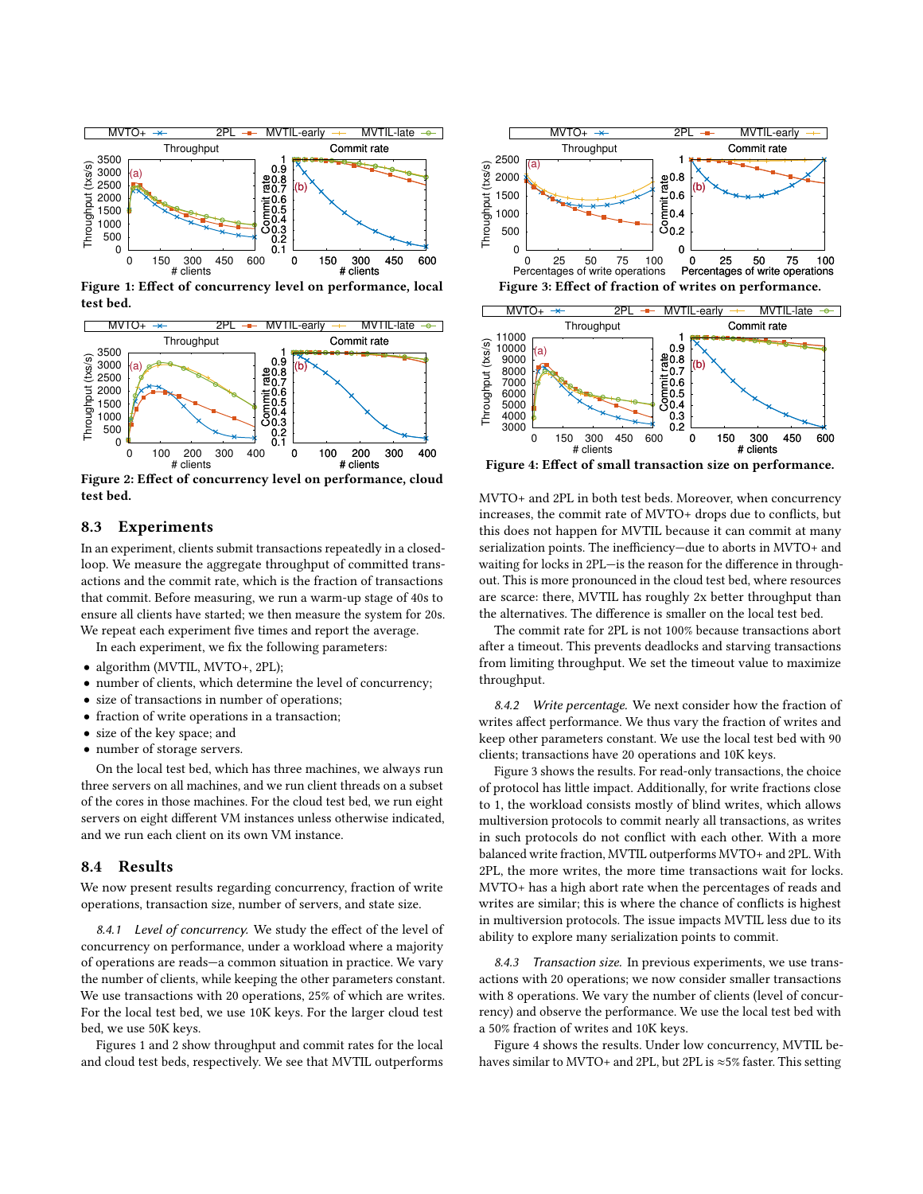<span id="page-7-0"></span>

Figure 1: Effect of concurrency level on performance, local test bed.

<span id="page-7-1"></span>

Figure 2: Effect of concurrency level on performance, cloud test bed.

## 8.3 Experiments

In an experiment, clients submit transactions repeatedly in a closedloop. We measure the aggregate throughput of committed transactions and the commit rate, which is the fraction of transactions that commit. Before measuring, we run a warm-up stage of 40s to ensure all clients have started; we then measure the system for 20s. We repeat each experiment five times and report the average.

In each experiment, we fix the following parameters:

- algorithm (MVTIL, MVTO+, 2PL);
- number of clients, which determine the level of concurrency;
- size of transactions in number of operations;
- fraction of write operations in a transaction;
- size of the key space; and
- number of storage servers.

On the local test bed, which has three machines, we always run three servers on all machines, and we run client threads on a subset of the cores in those machines. For the cloud test bed, we run eight servers on eight different VM instances unless otherwise indicated, and we run each client on its own VM instance.

#### 8.4 Results

We now present results regarding concurrency, fraction of write operations, transaction size, number of servers, and state size.

8.4.1 Level of concurrency. We study the effect of the level of concurrency on performance, under a workload where a majority of operations are reads—a common situation in practice. We vary the number of clients, while keeping the other parameters constant. We use transactions with 20 operations, 25% of which are writes. For the local test bed, we use 10K keys. For the larger cloud test bed, we use 50K keys.

Figures [1](#page-7-0) and [2](#page-7-1) show throughput and commit rates for the local and cloud test beds, respectively. We see that MVTIL outperforms

<span id="page-7-2"></span>

<span id="page-7-3"></span>

Figure 4: Effect of small transaction size on performance.

MVTO+ and 2PL in both test beds. Moreover, when concurrency increases, the commit rate of MVTO+ drops due to conflicts, but this does not happen for MVTIL because it can commit at many serialization points. The inefficiency—due to aborts in MVTO+ and waiting for locks in 2PL—is the reason for the difference in throughout. This is more pronounced in the cloud test bed, where resources are scarce: there, MVTIL has roughly 2x better throughput than the alternatives. The difference is smaller on the local test bed.

The commit rate for 2PL is not 100% because transactions abort after a timeout. This prevents deadlocks and starving transactions from limiting throughput. We set the timeout value to maximize throughput.

8.4.2 Write percentage. We next consider how the fraction of writes affect performance. We thus vary the fraction of writes and keep other parameters constant. We use the local test bed with 90 clients; transactions have 20 operations and 10K keys.

Figure [3](#page-7-2) shows the results. For read-only transactions, the choice of protocol has little impact. Additionally, for write fractions close to 1, the workload consists mostly of blind writes, which allows multiversion protocols to commit nearly all transactions, as writes in such protocols do not conflict with each other. With a more balanced write fraction, MVTIL outperforms MVTO+ and 2PL. With 2PL, the more writes, the more time transactions wait for locks. MVTO+ has a high abort rate when the percentages of reads and writes are similar; this is where the chance of conflicts is highest in multiversion protocols. The issue impacts MVTIL less due to its ability to explore many serialization points to commit.

8.4.3 Transaction size. In previous experiments, we use transactions with 20 operations; we now consider smaller transactions with 8 operations. We vary the number of clients (level of concurrency) and observe the performance. We use the local test bed with a 50% fraction of writes and 10K keys.

Figure [4](#page-7-3) shows the results. Under low concurrency, MVTIL behaves similar to MVTO+ and 2PL, but 2PL is ≈5% faster. This setting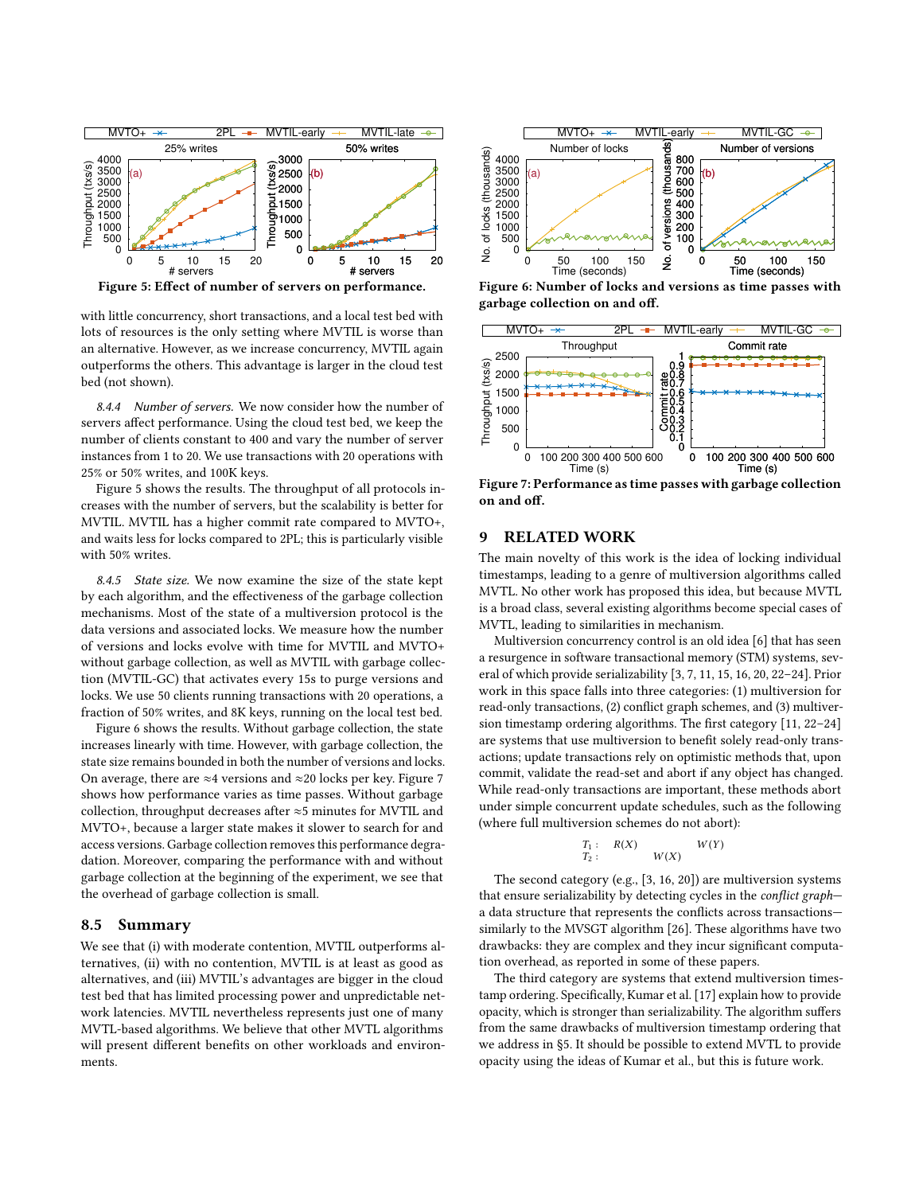<span id="page-8-1"></span>

Figure 5: Effect of number of servers on performance.

with little concurrency, short transactions, and a local test bed with lots of resources is the only setting where MVTIL is worse than an alternative. However, as we increase concurrency, MVTIL again outperforms the others. This advantage is larger in the cloud test bed (not shown).

8.4.4 Number of servers. We now consider how the number of servers affect performance. Using the cloud test bed, we keep the number of clients constant to 400 and vary the number of server instances from 1 to 20. We use transactions with 20 operations with 25% or 50% writes, and 100K keys.

Figure [5](#page-8-1) shows the results. The throughput of all protocols increases with the number of servers, but the scalability is better for MVTIL. MVTIL has a higher commit rate compared to MVTO+, and waits less for locks compared to 2PL; this is particularly visible with 50% writes.

<span id="page-8-0"></span>8.4.5 State size. We now examine the size of the state kept by each algorithm, and the effectiveness of the garbage collection mechanisms. Most of the state of a multiversion protocol is the data versions and associated locks. We measure how the number of versions and locks evolve with time for MVTIL and MVTO+ without garbage collection, as well as MVTIL with garbage collection (MVTIL-GC) that activates every 15s to purge versions and locks. We use 50 clients running transactions with 20 operations, a fraction of 50% writes, and 8K keys, running on the local test bed.

Figure [6](#page-8-2) shows the results. Without garbage collection, the state increases linearly with time. However, with garbage collection, the state size remains bounded in both the number of versions and locks. On average, there are ≈4 versions and ≈20 locks per key. Figure [7](#page-8-3) shows how performance varies as time passes. Without garbage collection, throughput decreases after ≈5 minutes for MVTIL and MVTO+, because a larger state makes it slower to search for and access versions. Garbage collection removes this performance degradation. Moreover, comparing the performance with and without garbage collection at the beginning of the experiment, we see that the overhead of garbage collection is small.

#### 8.5 Summary

We see that (i) with moderate contention, MVTIL outperforms alternatives, (ii) with no contention, MVTIL is at least as good as alternatives, and (iii) MVTIL's advantages are bigger in the cloud test bed that has limited processing power and unpredictable network latencies. MVTIL nevertheless represents just one of many MVTL-based algorithms. We believe that other MVTL algorithms will present different benefits on other workloads and environments.

<span id="page-8-2"></span>

Figure 6: Number of locks and versions as time passes with garbage collection on and off.

<span id="page-8-3"></span>

Figure 7: Performance as time passes with garbage collection on and off.

## 9 RELATED WORK

The main novelty of this work is the idea of locking individual timestamps, leading to a genre of multiversion algorithms called MVTL. No other work has proposed this idea, but because MVTL is a broad class, several existing algorithms become special cases of MVTL, leading to similarities in mechanism.

Multiversion concurrency control is an old idea [\[6\]](#page-9-1) that has seen a resurgence in software transactional memory (STM) systems, several of which provide serializability [\[3,](#page-9-13) [7,](#page-9-20) [11,](#page-9-8) [15,](#page-9-9) [16,](#page-9-14) [20,](#page-9-15) [22](#page-9-11)[–24\]](#page-9-21). Prior work in this space falls into three categories: (1) multiversion for read-only transactions, (2) conflict graph schemes, and (3) multiversion timestamp ordering algorithms. The first category [\[11,](#page-9-8) [22–](#page-9-11)[24\]](#page-9-21) are systems that use multiversion to benefit solely read-only transactions; update transactions rely on optimistic methods that, upon commit, validate the read-set and abort if any object has changed. While read-only transactions are important, these methods abort under simple concurrent update schedules, such as the following (where full multiversion schemes do not abort):

$$
T_1: R(X) \t W(Y) T_2: W(X) \t W(Y)
$$

The second category (e.g., [\[3,](#page-9-13) [16,](#page-9-14) [20\]](#page-9-15)) are multiversion systems that ensure serializability by detecting cycles in the conflict graph a data structure that represents the conflicts across transactions similarly to the MVSGT algorithm [\[26\]](#page-9-2). These algorithms have two drawbacks: they are complex and they incur significant computation overhead, as reported in some of these papers.

The third category are systems that extend multiversion timestamp ordering. Specifically, Kumar et al. [\[17\]](#page-9-10) explain how to provide opacity, which is stronger than serializability. The algorithm suffers from the same drawbacks of multiversion timestamp ordering that we address in [§5.](#page-3-0) It should be possible to extend MVTL to provide opacity using the ideas of Kumar et al., but this is future work.